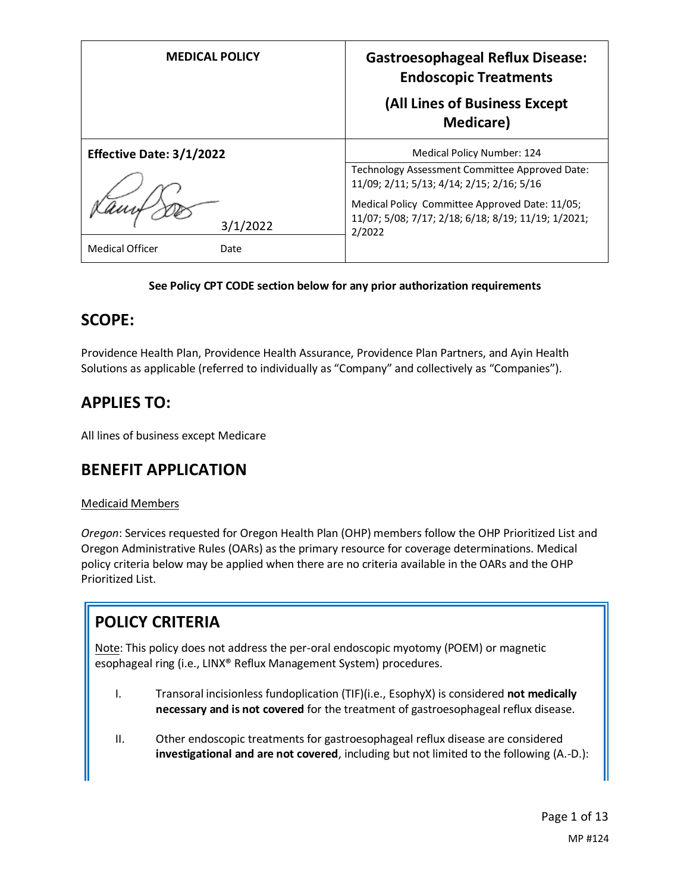| <b>MEDICAL POLICY</b>          | <b>Gastroesophageal Reflux Disease:</b><br><b>Endoscopic Treatments</b><br>(All Lines of Business Except<br><b>Medicare</b> )                                |
|--------------------------------|--------------------------------------------------------------------------------------------------------------------------------------------------------------|
| Effective Date: 3/1/2022       | Medical Policy Number: 124<br>Technology Assessment Committee Approved Date:                                                                                 |
| 3/1/2022                       | 11/09; 2/11; 5/13; 4/14; 2/15; 2/16; 5/16<br>Medical Policy Committee Approved Date: 11/05;<br>11/07; 5/08; 7/17; 2/18; 6/18; 8/19; 11/19; 1/2021;<br>2/2022 |
| <b>Medical Officer</b><br>Date |                                                                                                                                                              |

#### **See Policy CPT CODE section below for any prior authorization requirements**

### **SCOPE:**

Providence Health Plan, Providence Health Assurance, Providence Plan Partners, and Ayin Health Solutions as applicable (referred to individually as "Company" and collectively as "Companies").

# **APPLIES TO:**

All lines of business except Medicare

# **BENEFIT APPLICATION**

#### Medicaid Members

*Oregon*: Services requested for Oregon Health Plan (OHP) members follow the OHP Prioritized List and Oregon Administrative Rules (OARs) as the primary resource for coverage determinations. Medical policy criteria below may be applied when there are no criteria available in the OARs and the OHP Prioritized List.

# **POLICY CRITERIA**

Note: This policy does not address the per-oral endoscopic myotomy (POEM) or magnetic esophageal ring (i.e., LINX® Reflux Management System) procedures.

- I. Transoral incisionless fundoplication (TIF)(i.e., EsophyX) is considered **not medically necessary and is not covered** for the treatment of gastroesophageal reflux disease.
- II. Other endoscopic treatments for gastroesophageal reflux disease are considered **investigational and are not covered**, including but not limited to the following (A.-D.):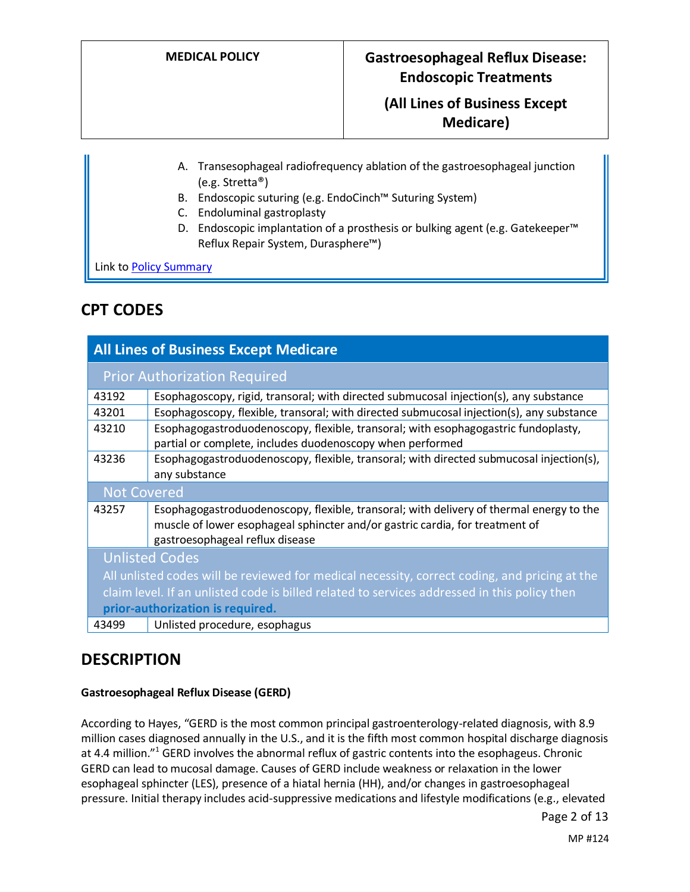### **(All Lines of Business Except Medicare)**

- A. Transesophageal radiofrequency ablation of the gastroesophageal junction (e.g. Stretta®)
- B. Endoscopic suturing (e.g. EndoCinch™ Suturing System)
- C. Endoluminal gastroplasty
- D. Endoscopic implantation of a prosthesis or bulking agent (e.g. Gatekeeper<sup>™</sup> Reflux Repair System, Durasphere™)

Link t[o Policy Summary](#page-8-0)

### **CPT CODES**

| <b>All Lines of Business Except Medicare</b>                                                                                     |                                                                                                                                                                                                            |  |
|----------------------------------------------------------------------------------------------------------------------------------|------------------------------------------------------------------------------------------------------------------------------------------------------------------------------------------------------------|--|
| <b>Prior Authorization Required</b>                                                                                              |                                                                                                                                                                                                            |  |
| 43192                                                                                                                            | Esophagoscopy, rigid, transoral; with directed submucosal injection(s), any substance                                                                                                                      |  |
| 43201                                                                                                                            | Esophagoscopy, flexible, transoral; with directed submucosal injection(s), any substance                                                                                                                   |  |
| 43210                                                                                                                            | Esophagogastroduodenoscopy, flexible, transoral; with esophagogastric fundoplasty,<br>partial or complete, includes duodenoscopy when performed                                                            |  |
| 43236                                                                                                                            | Esophagogastroduodenoscopy, flexible, transoral; with directed submucosal injection(s),<br>any substance                                                                                                   |  |
| <b>Not Covered</b>                                                                                                               |                                                                                                                                                                                                            |  |
| 43257                                                                                                                            | Esophagogastroduodenoscopy, flexible, transoral; with delivery of thermal energy to the<br>muscle of lower esophageal sphincter and/or gastric cardia, for treatment of<br>gastroesophageal reflux disease |  |
| <b>Unlisted Codes</b>                                                                                                            |                                                                                                                                                                                                            |  |
| All unlisted codes will be reviewed for medical necessity, correct coding, and pricing at the                                    |                                                                                                                                                                                                            |  |
| claim level. If an unlisted code is billed related to services addressed in this policy then<br>prior-authorization is required. |                                                                                                                                                                                                            |  |
| 43499                                                                                                                            | Unlisted procedure, esophagus                                                                                                                                                                              |  |

### **DESCRIPTION**

#### **Gastroesophageal Reflux Disease (GERD)**

According to Hayes, "GERD is the most common principal gastroenterology-related diagnosis, with 8.9 million cases diagnosed annually in the U.S., and it is the fifth most common hospital discharge diagnosis at 4.4 million."<sup>1</sup> GERD involves the abnormal reflux of gastric contents into the esophageus. Chronic GERD can lead to mucosal damage. Causes of GERD include weakness or relaxation in the lower esophageal sphincter (LES), presence of a hiatal hernia (HH), and/or changes in gastroesophageal pressure. Initial therapy includes acid-suppressive medications and lifestyle modifications (e.g., elevated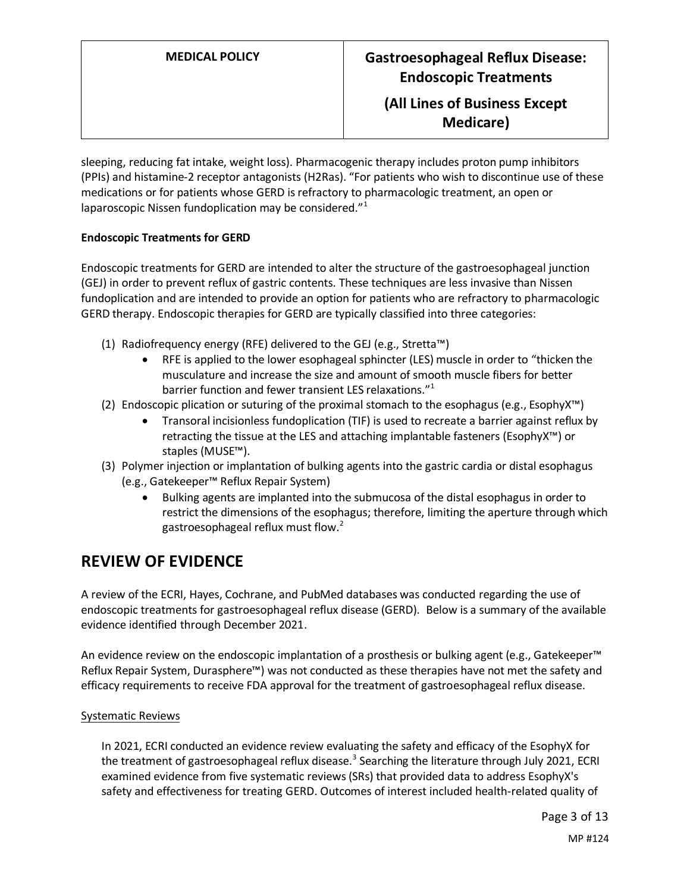sleeping, reducing fat intake, weight loss). Pharmacogenic therapy includes proton pump inhibitors (PPIs) and histamine-2 receptor antagonists (H2Ras). "For patients who wish to discontinue use of these medications or for patients whose GERD is refractory to pharmacologic treatment, an open or laparoscopic Nissen fundoplication may be considered."<sup>1</sup>

#### **Endoscopic Treatments for GERD**

Endoscopic treatments for GERD are intended to alter the structure of the gastroesophageal junction (GEJ) in order to prevent reflux of gastric contents. These techniques are less invasive than Nissen fundoplication and are intended to provide an option for patients who are refractory to pharmacologic GERD therapy. Endoscopic therapies for GERD are typically classified into three categories:

- (1) Radiofrequency energy (RFE) delivered to the GEJ (e.g., Stretta™)
	- RFE is applied to the lower esophageal sphincter (LES) muscle in order to "thicken the musculature and increase the size and amount of smooth muscle fibers for better barrier function and fewer transient LES relaxations."<sup>1</sup>
- (2) Endoscopic plication or suturing of the proximal stomach to the esophagus (e.g., EsophyX™)
	- Transoral incisionless fundoplication (TIF) is used to recreate a barrier against reflux by retracting the tissue at the LES and attaching implantable fasteners (EsophyX™) or staples (MUSE™).
- (3) Polymer injection or implantation of bulking agents into the gastric cardia or distal esophagus (e.g., Gatekeeper™ Reflux Repair System)
	- Bulking agents are implanted into the submucosa of the distal esophagus in order to restrict the dimensions of the esophagus; therefore, limiting the aperture through which gastroesophageal reflux must flow.<sup>2</sup>

### **REVIEW OF EVIDENCE**

A review of the ECRI, Hayes, Cochrane, and PubMed databases was conducted regarding the use of endoscopic treatments for gastroesophageal reflux disease (GERD). Below is a summary of the available evidence identified through December 2021.

An evidence review on the endoscopic implantation of a prosthesis or bulking agent (e.g., Gatekeeper™ Reflux Repair System, Durasphere™) was not conducted as these therapies have not met the safety and efficacy requirements to receive FDA approval for the treatment of gastroesophageal reflux disease.

#### Systematic Reviews

In 2021, ECRI conducted an evidence review evaluating the safety and efficacy of the EsophyX for the treatment of gastroesophageal reflux disease.<sup>3</sup> Searching the literature through July 2021, ECRI examined evidence from five systematic reviews(SRs) that provided data to address EsophyX's safety and effectiveness for treating GERD. Outcomes of interest included health-related quality of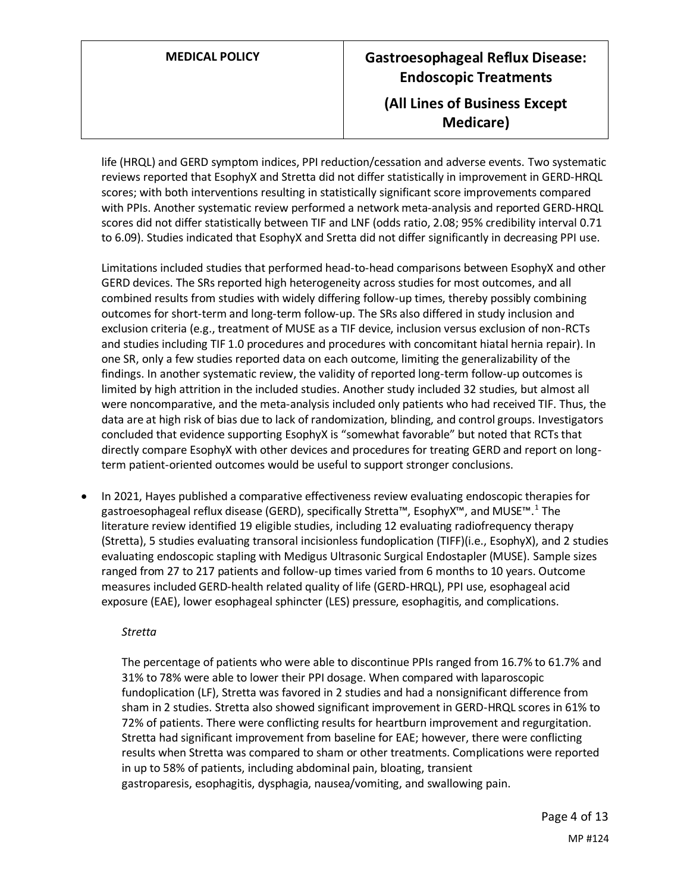life (HRQL) and GERD symptom indices, PPI reduction/cessation and adverse events. Two systematic reviews reported that EsophyX and Stretta did not differ statistically in improvement in GERD-HRQL scores; with both interventions resulting in statistically significant score improvements compared with PPIs. Another systematic review performed a network meta-analysis and reported GERD-HRQL scores did not differ statistically between TIF and LNF (odds ratio, 2.08; 95% credibility interval 0.71 to 6.09). Studies indicated that EsophyX and Sretta did not differ significantly in decreasing PPI use.

Limitations included studies that performed head-to-head comparisons between EsophyX and other GERD devices. The SRs reported high heterogeneity across studies for most outcomes, and all combined results from studies with widely differing follow-up times, thereby possibly combining outcomes for short-term and long-term follow-up. The SRs also differed in study inclusion and exclusion criteria (e.g., treatment of MUSE as a TIF device, inclusion versus exclusion of non-RCTs and studies including TIF 1.0 procedures and procedures with concomitant hiatal hernia repair). In one SR, only a few studies reported data on each outcome, limiting the generalizability of the findings. In another systematic review, the validity of reported long-term follow-up outcomes is limited by high attrition in the included studies. Another study included 32 studies, but almost all were noncomparative, and the meta-analysis included only patients who had received TIF. Thus, the data are at high risk of bias due to lack of randomization, blinding, and control groups. Investigators concluded that evidence supporting EsophyX is "somewhat favorable" but noted that RCTs that directly compare EsophyX with other devices and procedures for treating GERD and report on longterm patient-oriented outcomes would be useful to support stronger conclusions.

• In 2021, Hayes published a comparative effectiveness review evaluating endoscopic therapies for gastroesophageal reflux disease (GERD), specifically Stretta™, EsophyX™, and MUSE™.<sup>1</sup> The literature review identified 19 eligible studies, including 12 evaluating radiofrequency therapy (Stretta), 5 studies evaluating transoral incisionless fundoplication (TIFF)(i.e., EsophyX), and 2 studies evaluating endoscopic stapling with Medigus Ultrasonic Surgical Endostapler (MUSE). Sample sizes ranged from 27 to 217 patients and follow-up times varied from 6 months to 10 years. Outcome measures included GERD-health related quality of life (GERD-HRQL), PPI use, esophageal acid exposure (EAE), lower esophageal sphincter (LES) pressure, esophagitis, and complications.

#### *Stretta*

The percentage of patients who were able to discontinue PPIs ranged from 16.7% to 61.7% and 31% to 78% were able to lower their PPI dosage. When compared with laparoscopic fundoplication (LF), Stretta was favored in 2 studies and had a nonsignificant difference from sham in 2 studies. Stretta also showed significant improvement in GERD-HRQL scores in 61% to 72% of patients. There were conflicting results for heartburn improvement and regurgitation. Stretta had significant improvement from baseline for EAE; however, there were conflicting results when Stretta was compared to sham or other treatments. Complications were reported in up to 58% of patients, including abdominal pain, bloating, transient gastroparesis, esophagitis, dysphagia, nausea/vomiting, and swallowing pain.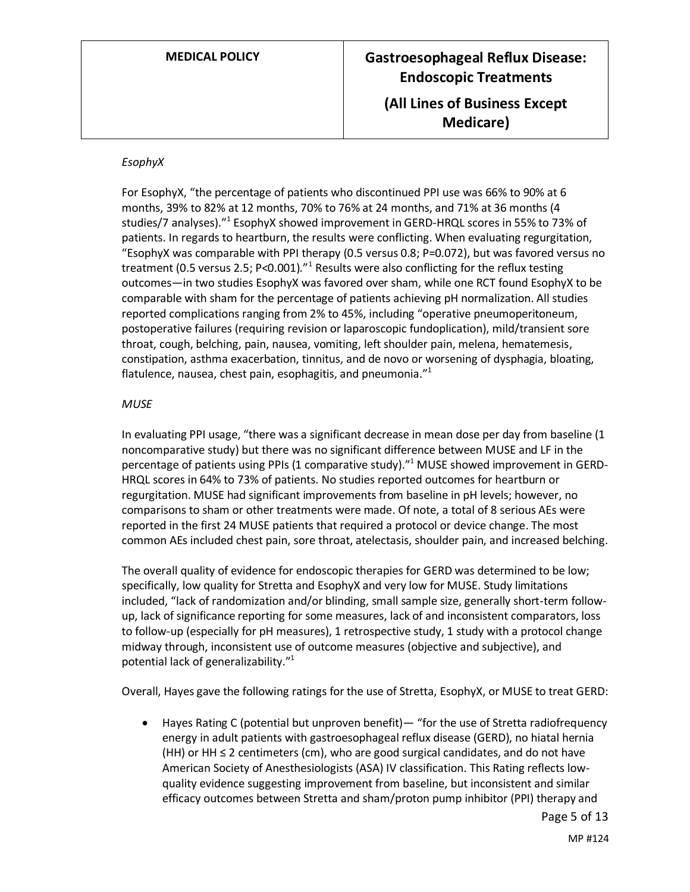#### *EsophyX*

For EsophyX, "the percentage of patients who discontinued PPI use was 66% to 90% at 6 months, 39% to 82% at 12 months, 70% to 76% at 24 months, and 71% at 36 months (4 studies/7 analyses)."<sup>1</sup> EsophyX showed improvement in GERD-HRQL scores in 55% to 73% of patients. In regards to heartburn, the results were conflicting. When evaluating regurgitation, "EsophyX was comparable with PPI therapy (0.5 versus 0.8; P=0.072), but was favored versus no treatment (0.5 versus 2.5; P<0.001)."<sup>1</sup> Results were also conflicting for the reflux testing outcomes—in two studies EsophyX was favored over sham, while one RCT found EsophyX to be comparable with sham for the percentage of patients achieving pH normalization. All studies reported complications ranging from 2% to 45%, including "operative pneumoperitoneum, postoperative failures (requiring revision or laparoscopic fundoplication), mild/transient sore throat, cough, belching, pain, nausea, vomiting, left shoulder pain, melena, hematemesis, constipation, asthma exacerbation, tinnitus, and de novo or worsening of dysphagia, bloating, flatulence, nausea, chest pain, esophagitis, and pneumonia."<sup>1</sup>

#### *MUSE*

In evaluating PPI usage, "there was a significant decrease in mean dose per day from baseline (1 noncomparative study) but there was no significant difference between MUSE and LF in the percentage of patients using PPIs (1 comparative study)."<sup>1</sup> MUSE showed improvement in GERD-HRQL scores in 64% to 73% of patients. No studies reported outcomes for heartburn or regurgitation. MUSE had significant improvements from baseline in pH levels; however, no comparisons to sham or other treatments were made. Of note, a total of 8 serious AEs were reported in the first 24 MUSE patients that required a protocol or device change. The most common AEs included chest pain, sore throat, atelectasis, shoulder pain, and increased belching.

The overall quality of evidence for endoscopic therapies for GERD was determined to be low; specifically, low quality for Stretta and EsophyX and very low for MUSE. Study limitations included, "lack of randomization and/or blinding, small sample size, generally short-term followup, lack of significance reporting for some measures, lack of and inconsistent comparators, loss to follow-up (especially for pH measures), 1 retrospective study, 1 study with a protocol change midway through, inconsistent use of outcome measures (objective and subjective), and potential lack of generalizability."<sup>1</sup>

Overall, Hayes gave the following ratings for the use of Stretta, EsophyX, or MUSE to treat GERD:

• Hayes Rating C (potential but unproven benefit)— "for the use of Stretta radiofrequency energy in adult patients with gastroesophageal reflux disease (GERD), no hiatal hernia (HH) or HH ≤ 2 centimeters (cm), who are good surgical candidates, and do not have American Society of Anesthesiologists (ASA) IV classification. This Rating reflects lowquality evidence suggesting improvement from baseline, but inconsistent and similar efficacy outcomes between Stretta and sham/proton pump inhibitor (PPI) therapy and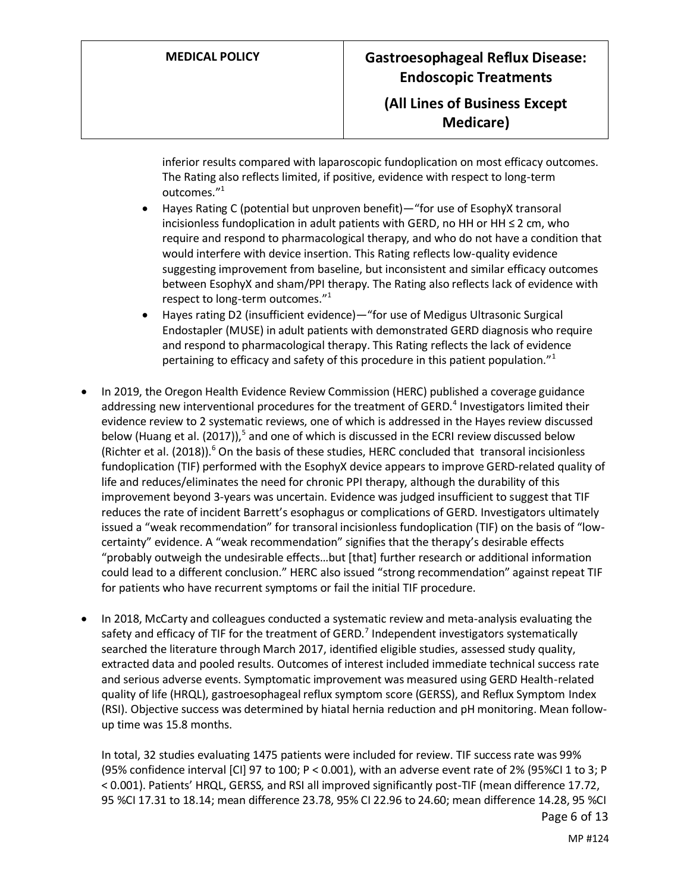**Medicare)**

inferior results compared with laparoscopic fundoplication on most efficacy outcomes. The Rating also reflects limited, if positive, evidence with respect to long-term outcomes." 1

- Hayes Rating C (potential but unproven benefit)—"for use of EsophyX transoral incisionless fundoplication in adult patients with GERD, no HH or HH ≤ 2 cm, who require and respond to pharmacological therapy, and who do not have a condition that would interfere with device insertion. This Rating reflects low-quality evidence suggesting improvement from baseline, but inconsistent and similar efficacy outcomes between EsophyX and sham/PPI therapy. The Rating also reflects lack of evidence with respect to long-term outcomes."<sup>1</sup>
- Hayes rating D2 (insufficient evidence)—"for use of Medigus Ultrasonic Surgical Endostapler (MUSE) in adult patients with demonstrated GERD diagnosis who require and respond to pharmacological therapy. This Rating reflects the lack of evidence pertaining to efficacy and safety of this procedure in this patient population."<sup>1</sup>
- In 2019, the Oregon Health Evidence Review Commission (HERC) published a coverage guidance addressing new interventional procedures for the treatment of GERD.<sup>4</sup> Investigators limited their evidence review to 2 systematic reviews, one of which is addressed in the Hayes review discussed below (Huang et al. (2017)),<sup>5</sup> and one of which is discussed in the ECRI review discussed below (Richter et al. (2018)). $^{6}$  On the basis of these studies, HERC concluded that transoral incisionless fundoplication (TIF) performed with the EsophyX device appears to improve GERD-related quality of life and reduces/eliminates the need for chronic PPI therapy, although the durability of this improvement beyond 3-years was uncertain. Evidence was judged insufficient to suggest that TIF reduces the rate of incident Barrett's esophagus or complications of GERD. Investigators ultimately issued a "weak recommendation" for transoral incisionless fundoplication (TIF) on the basis of "lowcertainty" evidence. A "weak recommendation" signifies that the therapy's desirable effects "probably outweigh the undesirable effects…but [that] further research or additional information could lead to a different conclusion." HERC also issued "strong recommendation" against repeat TIF for patients who have recurrent symptoms or fail the initial TIF procedure.
- In 2018, McCarty and colleagues conducted a systematic review and meta-analysis evaluating the safety and efficacy of TIF for the treatment of GERD.<sup>7</sup> Independent investigators systematically searched the literature through March 2017, identified eligible studies, assessed study quality, extracted data and pooled results. Outcomes of interest included immediate technical success rate and serious adverse events. Symptomatic improvement was measured using GERD Health-related quality of life (HRQL), gastroesophageal reflux symptom score (GERSS), and Reflux Symptom Index (RSI). Objective success was determined by hiatal hernia reduction and pH monitoring. Mean followup time was 15.8 months.

Page 6 of 13 In total, 32 studies evaluating 1475 patients were included for review. TIF success rate was 99% (95% confidence interval [CI] 97 to 100; P < 0.001), with an adverse event rate of 2% (95%CI 1 to 3; P < 0.001). Patients' HRQL, GERSS, and RSI all improved significantly post-TIF (mean difference 17.72, 95 %CI 17.31 to 18.14; mean difference 23.78, 95% CI 22.96 to 24.60; mean difference 14.28, 95 %CI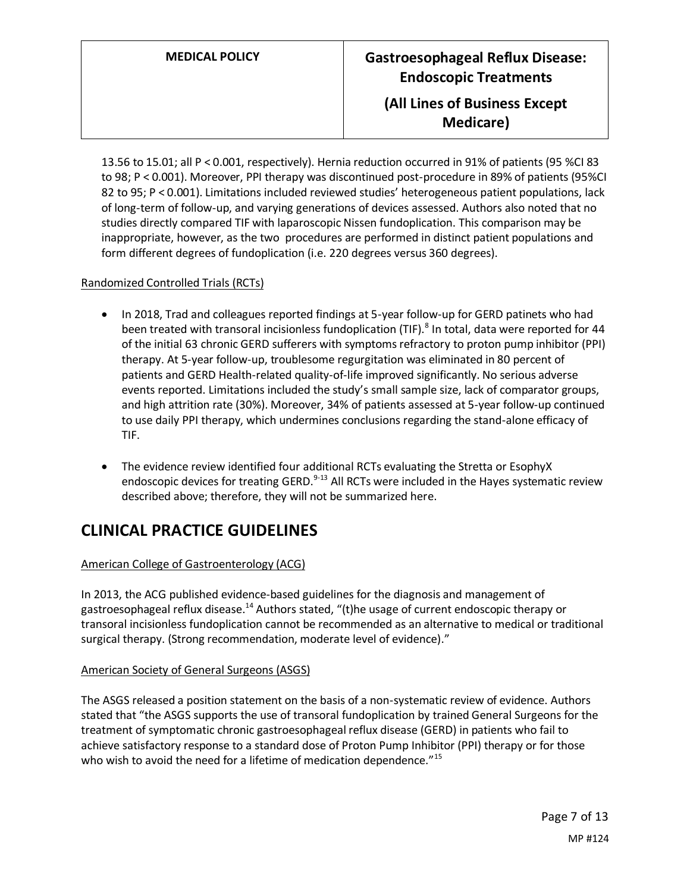13.56 to 15.01; all P < 0.001, respectively). Hernia reduction occurred in 91% of patients (95 %CI 83 to 98; P < 0.001). Moreover, PPI therapy was discontinued post-procedure in 89% of patients (95%CI 82 to 95; P < 0.001). Limitations included reviewed studies' heterogeneous patient populations, lack of long-term of follow-up, and varying generations of devices assessed. Authors also noted that no studies directly compared TIF with laparoscopic Nissen fundoplication. This comparison may be inappropriate, however, as the two procedures are performed in distinct patient populations and form different degrees of fundoplication (i.e. 220 degrees versus 360 degrees).

#### Randomized Controlled Trials (RCTs)

- In 2018, Trad and colleagues reported findings at 5-year follow-up for GERD patinets who had been treated with transoral incisionless fundoplication (TIF).<sup>8</sup> In total, data were reported for 44 of the initial 63 chronic GERD sufferers with symptoms refractory to proton pump inhibitor (PPI) therapy. At 5-year follow-up, troublesome regurgitation was eliminated in 80 percent of patients and GERD Health-related quality-of-life improved significantly. No serious adverse events reported. Limitations included the study's small sample size, lack of comparator groups, and high attrition rate (30%). Moreover, 34% of patients assessed at 5-year follow-up continued to use daily PPI therapy, which undermines conclusions regarding the stand-alone efficacy of TIF.
- The evidence review identified four additional RCTs evaluating the Stretta or EsophyX endoscopic devices for treating GERD.<sup>9-13</sup> All RCTs were included in the Hayes systematic review described above; therefore, they will not be summarized here.

# **CLINICAL PRACTICE GUIDELINES**

#### American College of Gastroenterology (ACG)

In 2013, the ACG published evidence-based guidelines for the diagnosis and management of gastroesophageal reflux disease.<sup>14</sup> Authors stated, "(t)he usage of current endoscopic therapy or transoral incisionless fundoplication cannot be recommended as an alternative to medical or traditional surgical therapy. (Strong recommendation, moderate level of evidence)."

#### American Society of General Surgeons (ASGS)

The ASGS released a position statement on the basis of a non-systematic review of evidence. Authors stated that "the ASGS supports the use of transoral fundoplication by trained General Surgeons for the treatment of symptomatic chronic gastroesophageal reflux disease (GERD) in patients who fail to achieve satisfactory response to a standard dose of Proton Pump Inhibitor (PPI) therapy or for those who wish to avoid the need for a lifetime of medication dependence."<sup>15</sup>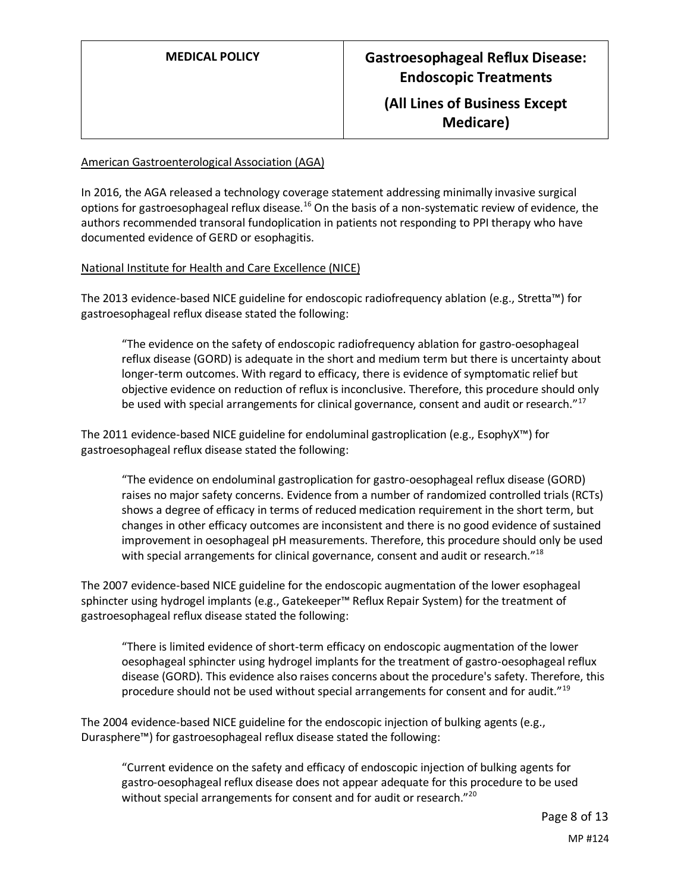**Medicare)**

#### American Gastroenterological Association (AGA)

In 2016, the AGA released a technology coverage statement addressing minimally invasive surgical options for gastroesophageal reflux disease.<sup>16</sup> On the basis of a non-systematic review of evidence, the authors recommended transoral fundoplication in patients not responding to PPI therapy who have documented evidence of GERD or esophagitis.

#### National Institute for Health and Care Excellence (NICE)

The 2013 evidence-based NICE guideline for endoscopic radiofrequency ablation (e.g., Stretta™) for gastroesophageal reflux disease stated the following:

"The evidence on the safety of endoscopic radiofrequency ablation for gastro-oesophageal reflux disease (GORD) is adequate in the short and medium term but there is uncertainty about longer-term outcomes. With regard to efficacy, there is evidence of symptomatic relief but objective evidence on reduction of reflux is inconclusive. Therefore, this procedure should only be used with special arrangements for clinical governance, consent and audit or research."<sup>17</sup>

The 2011 evidence-based NICE guideline for endoluminal gastroplication (e.g., EsophyX™) for gastroesophageal reflux disease stated the following:

"The evidence on endoluminal gastroplication for gastro-oesophageal reflux disease (GORD) raises no major safety concerns. Evidence from a number of randomized controlled trials (RCTs) shows a degree of efficacy in terms of reduced medication requirement in the short term, but changes in other efficacy outcomes are inconsistent and there is no good evidence of sustained improvement in oesophageal pH measurements. Therefore, this procedure should only be used with special arrangements for clinical governance, consent and audit or research."<sup>18</sup>

The 2007 evidence-based NICE guideline for the endoscopic augmentation of the lower esophageal sphincter using hydrogel implants (e.g., Gatekeeper™ Reflux Repair System) for the treatment of gastroesophageal reflux disease stated the following:

"There is limited evidence of short-term efficacy on endoscopic augmentation of the lower oesophageal sphincter using hydrogel implants for the treatment of gastro-oesophageal reflux disease (GORD). This evidence also raises concerns about the procedure's safety. Therefore, this procedure should not be used without special arrangements for consent and for audit."<sup>19</sup>

The 2004 evidence-based NICE guideline for the endoscopic injection of bulking agents (e.g., Durasphere™) for gastroesophageal reflux disease stated the following:

"Current evidence on the safety and efficacy of endoscopic injection of bulking agents for gastro-oesophageal reflux disease does not appear adequate for this procedure to be used without special arrangements for consent and for audit or research."<sup>20</sup>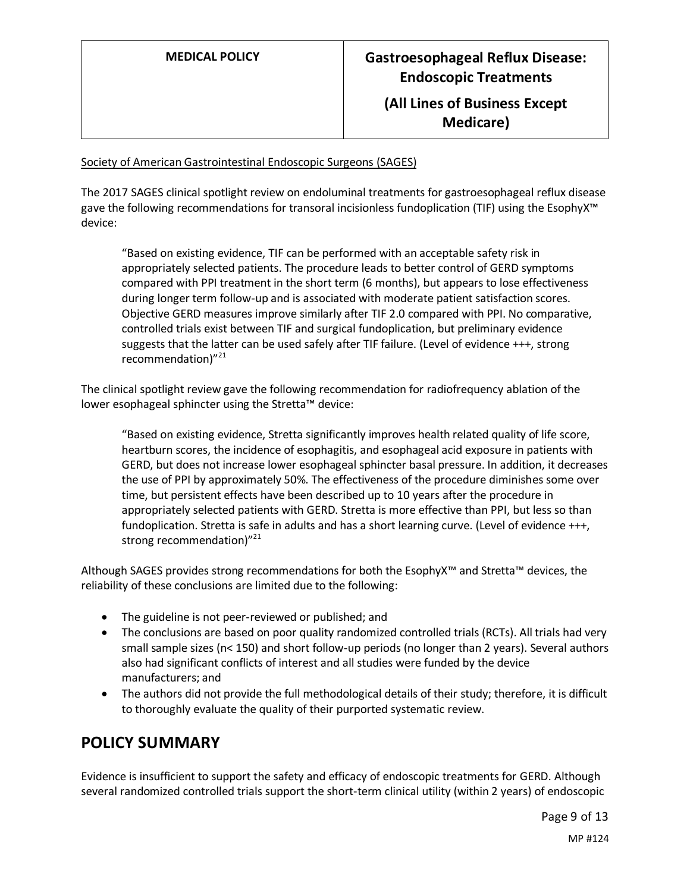#### Society of American Gastrointestinal Endoscopic Surgeons (SAGES)

The 2017 SAGES clinical spotlight review on endoluminal treatments for gastroesophageal reflux disease gave the following recommendations for transoral incisionless fundoplication (TIF) using the EsophyX™ device:

"Based on existing evidence, TIF can be performed with an acceptable safety risk in appropriately selected patients. The procedure leads to better control of GERD symptoms compared with PPI treatment in the short term (6 months), but appears to lose effectiveness during longer term follow-up and is associated with moderate patient satisfaction scores. Objective GERD measures improve similarly after TIF 2.0 compared with PPI. No comparative, controlled trials exist between TIF and surgical fundoplication, but preliminary evidence suggests that the latter can be used safely after TIF failure. (Level of evidence +++, strong recommendation)"<sup>21</sup>

The clinical spotlight review gave the following recommendation for radiofrequency ablation of the lower esophageal sphincter using the Stretta™ device:

"Based on existing evidence, Stretta significantly improves health related quality of life score, heartburn scores, the incidence of esophagitis, and esophageal acid exposure in patients with GERD, but does not increase lower esophageal sphincter basal pressure. In addition, it decreases the use of PPI by approximately 50%. The effectiveness of the procedure diminishes some over time, but persistent effects have been described up to 10 years after the procedure in appropriately selected patients with GERD. Stretta is more effective than PPI, but less so than fundoplication. Stretta is safe in adults and has a short learning curve. (Level of evidence +++, strong recommendation)"<sup>21</sup>

Although SAGES provides strong recommendations for both the EsophyX™ and Stretta™ devices, the reliability of these conclusions are limited due to the following:

- The guideline is not peer-reviewed or published; and
- The conclusions are based on poor quality randomized controlled trials (RCTs). All trials had very small sample sizes (n< 150) and short follow-up periods (no longer than 2 years). Several authors also had significant conflicts of interest and all studies were funded by the device manufacturers; and
- The authors did not provide the full methodological details of their study; therefore, it is difficult to thoroughly evaluate the quality of their purported systematic review.

### <span id="page-8-0"></span>**POLICY SUMMARY**

Evidence is insufficient to support the safety and efficacy of endoscopic treatments for GERD. Although several randomized controlled trials support the short-term clinical utility (within 2 years) of endoscopic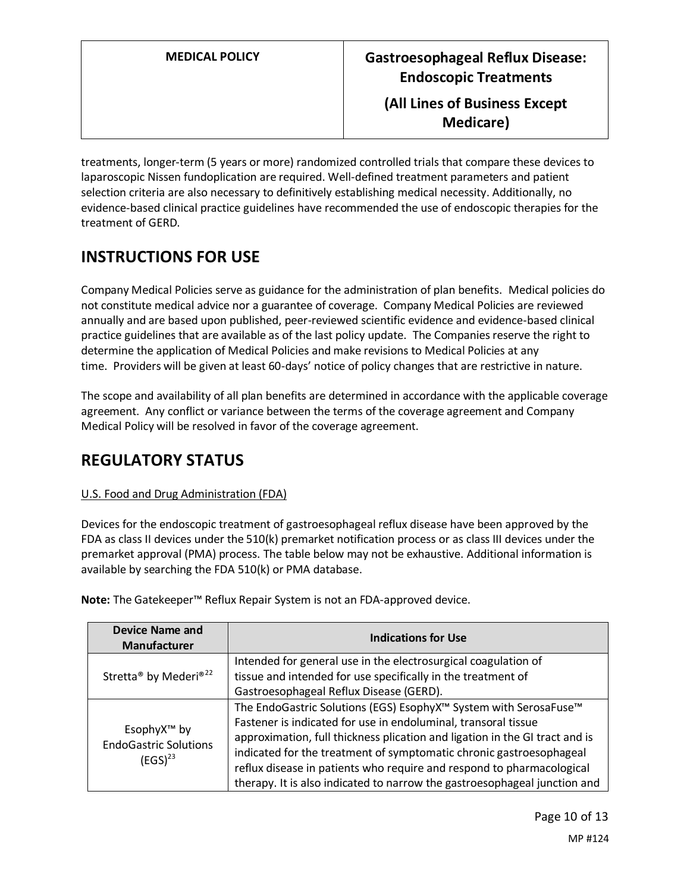treatments, longer-term (5 years or more) randomized controlled trials that compare these devices to laparoscopic Nissen fundoplication are required. Well-defined treatment parameters and patient selection criteria are also necessary to definitively establishing medical necessity. Additionally, no evidence-based clinical practice guidelines have recommended the use of endoscopic therapies for the treatment of GERD.

# **INSTRUCTIONS FOR USE**

Company Medical Policies serve as guidance for the administration of plan benefits. Medical policies do not constitute medical advice nor a guarantee of coverage. Company Medical Policies are reviewed annually and are based upon published, peer-reviewed scientific evidence and evidence-based clinical practice guidelines that are available as of the last policy update. The Companies reserve the right to determine the application of Medical Policies and make revisions to Medical Policies at any time. Providers will be given at least 60-days' notice of policy changes that are restrictive in nature.

The scope and availability of all plan benefits are determined in accordance with the applicable coverage agreement. Any conflict or variance between the terms of the coverage agreement and Company Medical Policy will be resolved in favor of the coverage agreement.

# **REGULATORY STATUS**

#### U.S. Food and Drug Administration (FDA)

Devices for the endoscopic treatment of gastroesophageal reflux disease have been approved by the FDA as class II devices under the 510(k) premarket notification process or as class III devices under the premarket approval (PMA) process. The table below may not be exhaustive. Additional information is available by searching the FDA 510(k) or PMA database.

| <b>Device Name and</b><br><b>Manufacturer</b>                           | <b>Indications for Use</b>                                                                                                                                                                                                                                                                                                                                                                                                                     |
|-------------------------------------------------------------------------|------------------------------------------------------------------------------------------------------------------------------------------------------------------------------------------------------------------------------------------------------------------------------------------------------------------------------------------------------------------------------------------------------------------------------------------------|
| Stretta <sup>®</sup> by Mederi <sup>®22</sup>                           | Intended for general use in the electrosurgical coagulation of<br>tissue and intended for use specifically in the treatment of<br>Gastroesophageal Reflux Disease (GERD).                                                                                                                                                                                                                                                                      |
| EsophyX <sup>™</sup> by<br><b>EndoGastric Solutions</b><br>$(EGS)^{23}$ | The EndoGastric Solutions (EGS) EsophyX™ System with SerosaFuse™<br>Fastener is indicated for use in endoluminal, transoral tissue<br>approximation, full thickness plication and ligation in the GI tract and is<br>indicated for the treatment of symptomatic chronic gastroesophageal<br>reflux disease in patients who require and respond to pharmacological<br>therapy. It is also indicated to narrow the gastroesophageal junction and |

**Note:** The Gatekeeper™ Reflux Repair System is not an FDA-approved device.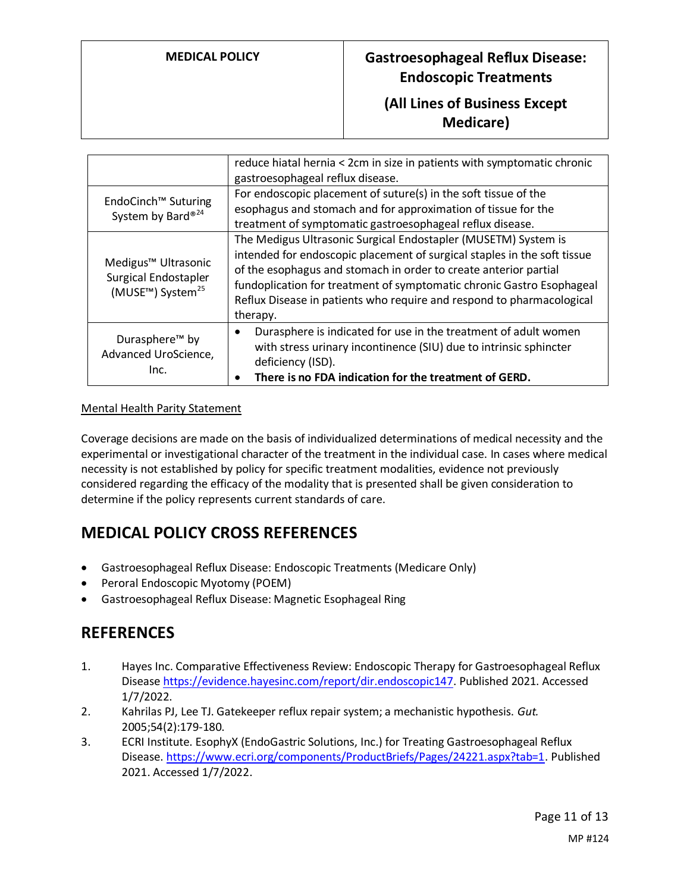### **MEDICAL POLICY Gastroesophageal Reflux Disease: Endoscopic Treatments**

### **(All Lines of Business Except Medicare)**

|                                                                                                      | reduce hiatal hernia < 2cm in size in patients with symptomatic chronic<br>gastroesophageal reflux disease.                                                                                                                                                                                                                                                                  |
|------------------------------------------------------------------------------------------------------|------------------------------------------------------------------------------------------------------------------------------------------------------------------------------------------------------------------------------------------------------------------------------------------------------------------------------------------------------------------------------|
| EndoCinch <sup>™</sup> Suturing<br>System by Bard® <sup>24</sup>                                     | For endoscopic placement of suture(s) in the soft tissue of the<br>esophagus and stomach and for approximation of tissue for the<br>treatment of symptomatic gastroesophageal reflux disease.                                                                                                                                                                                |
| Medigus <sup>™</sup> Ultrasonic<br>Surgical Endostapler<br>(MUSE <sup>™</sup> ) System <sup>25</sup> | The Medigus Ultrasonic Surgical Endostapler (MUSETM) System is<br>intended for endoscopic placement of surgical staples in the soft tissue<br>of the esophagus and stomach in order to create anterior partial<br>fundoplication for treatment of symptomatic chronic Gastro Esophageal<br>Reflux Disease in patients who require and respond to pharmacological<br>therapy. |
| Durasphere <sup>™</sup> by<br>Advanced UroScience,<br>Inc.                                           | Durasphere is indicated for use in the treatment of adult women<br>$\bullet$<br>with stress urinary incontinence (SIU) due to intrinsic sphincter<br>deficiency (ISD).<br>There is no FDA indication for the treatment of GERD.                                                                                                                                              |

#### Mental Health Parity Statement

Coverage decisions are made on the basis of individualized determinations of medical necessity and the experimental or investigational character of the treatment in the individual case. In cases where medical necessity is not established by policy for specific treatment modalities, evidence not previously considered regarding the efficacy of the modality that is presented shall be given consideration to determine if the policy represents current standards of care.

# **MEDICAL POLICY CROSS REFERENCES**

- Gastroesophageal Reflux Disease: Endoscopic Treatments (Medicare Only)
- Peroral Endoscopic Myotomy (POEM)
- Gastroesophageal Reflux Disease: Magnetic Esophageal Ring

### **REFERENCES**

- 1. Hayes Inc. Comparative Effectiveness Review: Endoscopic Therapy for Gastroesophageal Reflux Diseas[e https://evidence.hayesinc.com/report/dir.endoscopic147.](https://evidence.hayesinc.com/report/dir.endoscopic147) Published 2021. Accessed 1/7/2022.
- 2. Kahrilas PJ, Lee TJ. Gatekeeper reflux repair system; a mechanistic hypothesis. *Gut.*  2005;54(2):179-180.
- 3. ECRI Institute. EsophyX (EndoGastric Solutions, Inc.) for Treating Gastroesophageal Reflux Disease[. https://www.ecri.org/components/ProductBriefs/Pages/24221.aspx?tab=1.](https://www.ecri.org/components/ProductBriefs/Pages/24221.aspx?tab=1) Published 2021. Accessed 1/7/2022.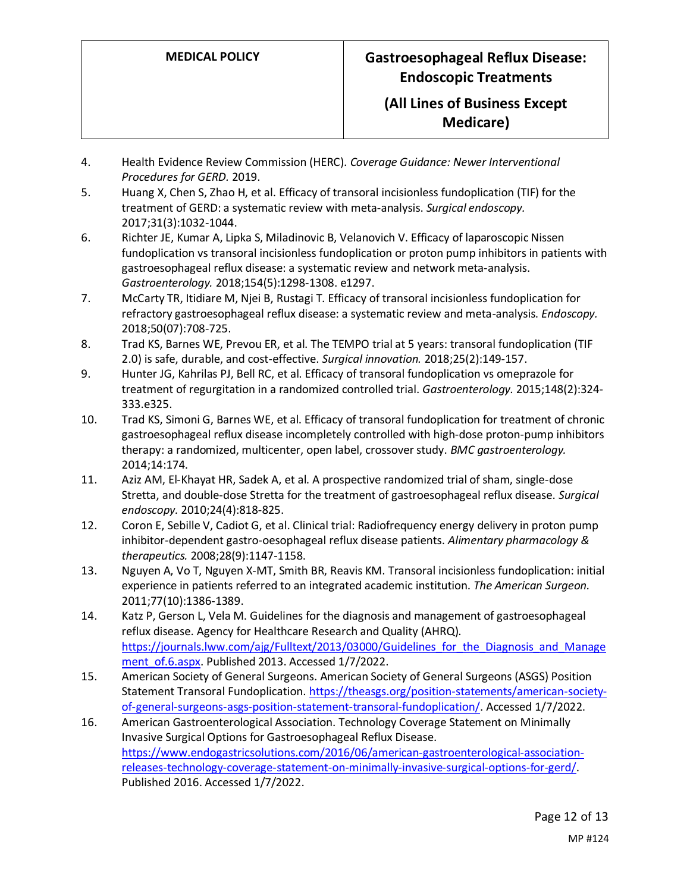### **(All Lines of Business Except Medicare)**

- 4. Health Evidence Review Commission (HERC). *Coverage Guidance: Newer Interventional Procedures for GERD.* 2019.
- 5. Huang X, Chen S, Zhao H, et al. Efficacy of transoral incisionless fundoplication (TIF) for the treatment of GERD: a systematic review with meta-analysis. *Surgical endoscopy.*  2017;31(3):1032-1044.
- 6. Richter JE, Kumar A, Lipka S, Miladinovic B, Velanovich V. Efficacy of laparoscopic Nissen fundoplication vs transoral incisionless fundoplication or proton pump inhibitors in patients with gastroesophageal reflux disease: a systematic review and network meta-analysis. *Gastroenterology.* 2018;154(5):1298-1308. e1297.
- 7. McCarty TR, Itidiare M, Njei B, Rustagi T. Efficacy of transoral incisionless fundoplication for refractory gastroesophageal reflux disease: a systematic review and meta-analysis. *Endoscopy.*  2018;50(07):708-725.
- 8. Trad KS, Barnes WE, Prevou ER, et al. The TEMPO trial at 5 years: transoral fundoplication (TIF 2.0) is safe, durable, and cost-effective. *Surgical innovation.* 2018;25(2):149-157.
- 9. Hunter JG, Kahrilas PJ, Bell RC, et al. Efficacy of transoral fundoplication vs omeprazole for treatment of regurgitation in a randomized controlled trial. *Gastroenterology.* 2015;148(2):324- 333.e325.
- 10. Trad KS, Simoni G, Barnes WE, et al. Efficacy of transoral fundoplication for treatment of chronic gastroesophageal reflux disease incompletely controlled with high-dose proton-pump inhibitors therapy: a randomized, multicenter, open label, crossover study. *BMC gastroenterology.*  2014;14:174.
- 11. Aziz AM, El-Khayat HR, Sadek A, et al. A prospective randomized trial of sham, single-dose Stretta, and double-dose Stretta for the treatment of gastroesophageal reflux disease. *Surgical endoscopy.* 2010;24(4):818-825.
- 12. Coron E, Sebille V, Cadiot G, et al. Clinical trial: Radiofrequency energy delivery in proton pump inhibitor-dependent gastro-oesophageal reflux disease patients. *Alimentary pharmacology & therapeutics.* 2008;28(9):1147-1158.
- 13. Nguyen A, Vo T, Nguyen X-MT, Smith BR, Reavis KM. Transoral incisionless fundoplication: initial experience in patients referred to an integrated academic institution. *The American Surgeon.*  2011;77(10):1386-1389.
- 14. Katz P, Gerson L, Vela M. Guidelines for the diagnosis and management of gastroesophageal reflux disease. Agency for Healthcare Research and Quality (AHRQ). https://journals.lww.com/ajg/Fulltext/2013/03000/Guidelines for the Diagnosis and Manage [ment\\_of.6.aspx.](https://journals.lww.com/ajg/Fulltext/2013/03000/Guidelines_for_the_Diagnosis_and_Management_of.6.aspx) Published 2013. Accessed 1/7/2022.
- 15. American Society of General Surgeons. American Society of General Surgeons (ASGS) Position Statement Transoral Fundoplication. [https://theasgs.org/position-statements/american-society](https://theasgs.org/position-statements/american-society-of-general-surgeons-asgs-position-statement-transoral-fundoplication/)[of-general-surgeons-asgs-position-statement-transoral-fundoplication/.](https://theasgs.org/position-statements/american-society-of-general-surgeons-asgs-position-statement-transoral-fundoplication/) Accessed 1/7/2022.
- 16. American Gastroenterological Association. Technology Coverage Statement on Minimally Invasive Surgical Options for Gastroesophageal Reflux Disease. [https://www.endogastricsolutions.com/2016/06/american-gastroenterological-association](https://www.endogastricsolutions.com/2016/06/american-gastroenterological-association-releases-technology-coverage-statement-on-minimally-invasive-surgical-options-for-gerd/)[releases-technology-coverage-statement-on-minimally-invasive-surgical-options-for-gerd/.](https://www.endogastricsolutions.com/2016/06/american-gastroenterological-association-releases-technology-coverage-statement-on-minimally-invasive-surgical-options-for-gerd/) Published 2016. Accessed 1/7/2022.